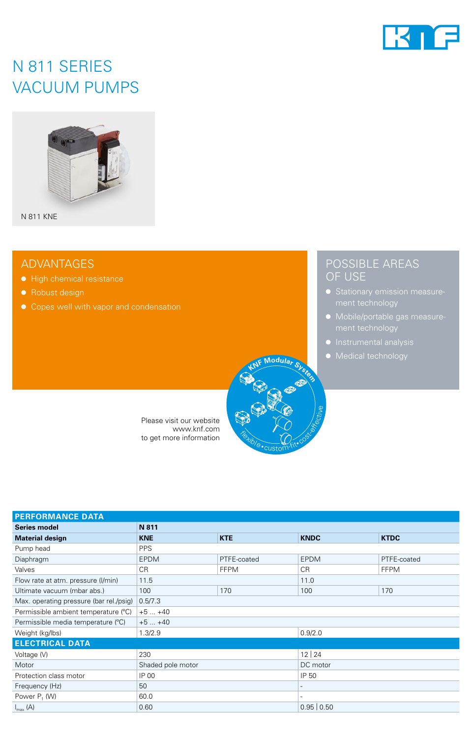

# N 811 SERIES VACUUM PUMPS



N 811 KNE

### ADVANTAGES

- High chemical resistance
- Robust design
- Copes well with vapor and condensation



Please visit our website www.knf.com to get more information

## POSSIBLE AREAS OF USE

- ment technology
- 
- Instrumental analysis
- Medical technology

| <b>PERFORMANCE DATA</b>                 |                   |             |             |             |  |
|-----------------------------------------|-------------------|-------------|-------------|-------------|--|
| <b>Series model</b>                     | N 811             |             |             |             |  |
| <b>Material design</b>                  | <b>KNE</b>        | <b>KTE</b>  | <b>KNDC</b> | <b>KTDC</b> |  |
| Pump head                               | <b>PPS</b>        |             |             |             |  |
| Diaphragm                               | <b>EPDM</b>       | PTFE-coated | <b>EPDM</b> | PTFE-coated |  |
| Valves                                  | C <sub>R</sub>    | <b>FFPM</b> | <b>CR</b>   | <b>FFPM</b> |  |
| Flow rate at atm. pressure (I/min)      | 11.5              |             | 11.0        |             |  |
| Ultimate vacuum (mbar abs.)             | 100               | 170         | 100         | 170         |  |
| Max. operating pressure (bar rel./psig) | 0.5/7.3           |             |             |             |  |
| Permissible ambient temperature (°C)    | $+5+40$           |             |             |             |  |
| Permissible media temperature (°C)      | $+5+40$           |             |             |             |  |
| Weight (kg/lbs)                         | 1.3/2.9           |             | 0.9/2.0     |             |  |
| <b>ELECTRICAL DATA</b>                  |                   |             |             |             |  |
| Voltage (V)                             | 230               |             | 12 24       |             |  |
| Motor                                   | Shaded pole motor |             | DC motor    |             |  |
| Protection class motor                  | IP 00             |             | IP 50       |             |  |
| Frequency (Hz)                          | 50                |             |             |             |  |
| Power $P_1$ (W)                         | 60.0              |             |             |             |  |
| $I_{\text{max}}(A)$                     | 0.60              |             | 0.95   0.50 |             |  |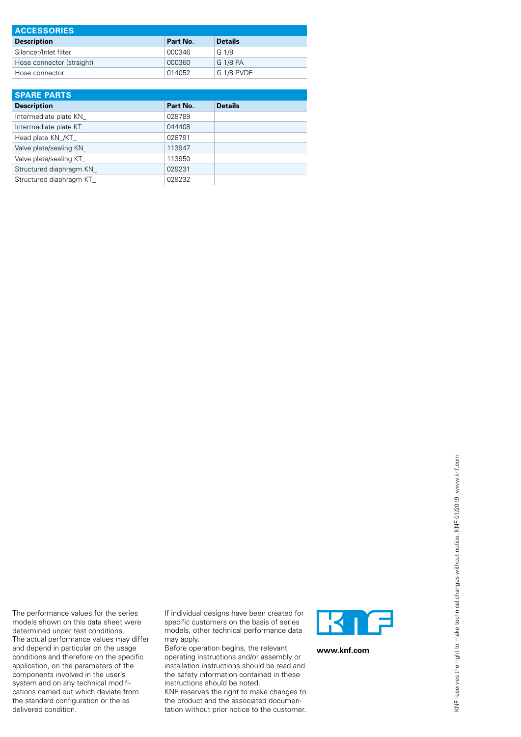| <b>ACCESSORIES</b>        |          |                |  |
|---------------------------|----------|----------------|--|
| <b>Description</b>        | Part No. | <b>Details</b> |  |
| Silencer/Inlet filter     | 000346   | G 1/8          |  |
| Hose connector (straight) | 000360   | G 1/8 PA       |  |
| Hose connector            | 014052   | G 1/8 PVDF     |  |

| <b>SPARE PARTS</b>       |          |                |  |
|--------------------------|----------|----------------|--|
| <b>Description</b>       | Part No. | <b>Details</b> |  |
| Intermediate plate KN    | 028789   |                |  |
| Intermediate plate KT    | 044408   |                |  |
| Head plate KN /KT        | 028791   |                |  |
| Valve plate/sealing KN   | 113947   |                |  |
| Valve plate/sealing KT   | 113950   |                |  |
| Structured diaphragm KN  | 029231   |                |  |
| Structured diaphragm KT_ | 029232   |                |  |

If individual designs have been created for specific customers on the basis of series models, other technical performance data may apply. Before operation begins, the relevant

The performance values for the series models shown on this data sheet were determined under test conditions. The actual performance values may differ and depend in particular on the usage conditions and therefore on the specific application, on the parameters of the components involved in the user's system and on any technical modifications carried out which deviate from the standard configuration or the as

delivered condition.

operating instructions and/or assembly or installation instructions should be read and the safety information contained in these instructions should be noted.

KNF reserves the right to make changes to the product and the associated documentation without prior notice to the customer.



**www.knf.com**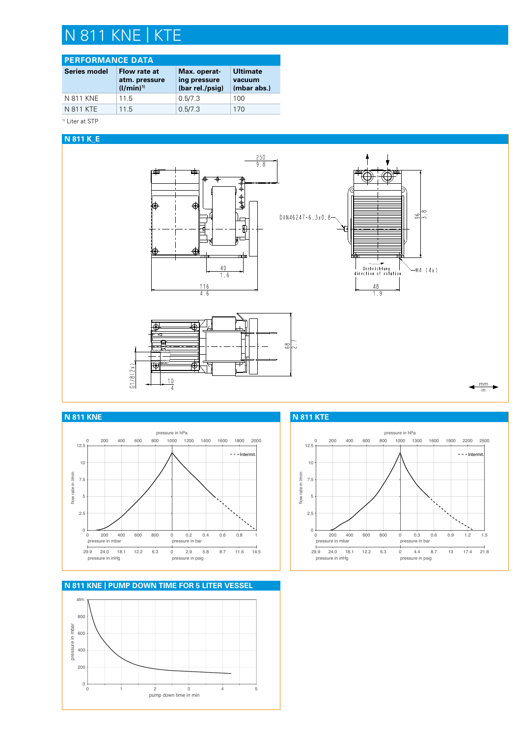# N 811 KNE | KTE

### **PERFORMANCE DATA**

| <b>Series model</b> | Flow rate at<br>atm. pressure<br>$(1/min)^{1}$ | Max. operat-<br>ing pressure<br>(bar rel./psig) | <b>Ultimate</b><br>vacuum<br>(mbar abs.) |
|---------------------|------------------------------------------------|-------------------------------------------------|------------------------------------------|
| N 811 KNE           | 11.5                                           | 0.5/7.3                                         | 100                                      |
| N 811 KTE           | 11.5                                           | 0.5/7.3                                         | 170                                      |

<sup>1)</sup> Liter at STP

#### **N 811 K\_E**





**N 811 KNE | PUMP DOWN TIME FOR 5 LITER VESSEL**